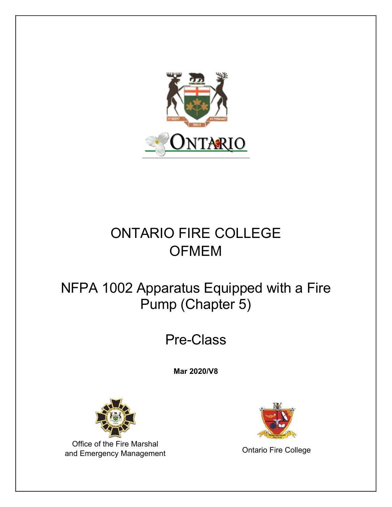

# ONTARIO FIRE COLLEGE **OFMEM**

# NFPA 1002 Apparatus Equipped with a Fire Pump (Chapter 5)

# Pre-Class

**Mar 2020/V8** 



Office of the Fire Marshal and Emergency Management **College**<br>
and Emergency Management

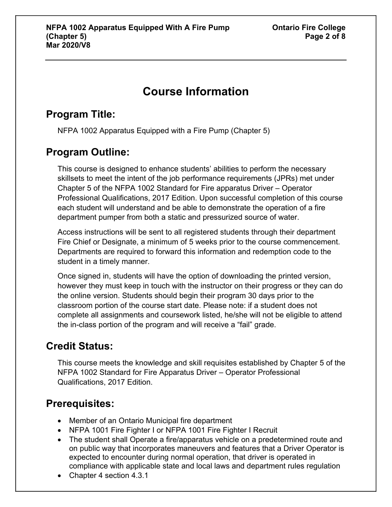# **Course Information**

### **Program Title:**

NFPA 1002 Apparatus Equipped with a Fire Pump (Chapter 5)

### **Program Outline:**

This course is designed to enhance students' abilities to perform the necessary skillsets to meet the intent of the job performance requirements (JPRs) met under Chapter 5 of the NFPA 1002 Standard for Fire apparatus Driver – Operator Professional Qualifications, 2017 Edition. Upon successful completion of this course each student will understand and be able to demonstrate the operation of a fire department pumper from both a static and pressurized source of water.

Access instructions will be sent to all registered students through their department Fire Chief or Designate, a minimum of 5 weeks prior to the course commencement. Departments are required to forward this information and redemption code to the student in a timely manner.

Once signed in, students will have the option of downloading the printed version, however they must keep in touch with the instructor on their progress or they can do the online version. Students should begin their program 30 days prior to the classroom portion of the course start date. Please note: if a student does not complete all assignments and coursework listed, he/she will not be eligible to attend the in-class portion of the program and will receive a "fail" grade.

# **Credit Status:**

This course meets the knowledge and skill requisites established by Chapter 5 of the NFPA 1002 Standard for Fire Apparatus Driver – Operator Professional Qualifications, 2017 Edition.

# **Prerequisites:**

- Member of an Ontario Municipal fire department
- NFPA 1001 Fire Fighter I or NFPA 1001 Fire Fighter I Recruit
- The student shall Operate a fire/apparatus vehicle on a predetermined route and on public way that incorporates maneuvers and features that a Driver Operator is expected to encounter during normal operation, that driver is operated in compliance with applicable state and local laws and department rules regulation
- Chapter 4 section 4.3.1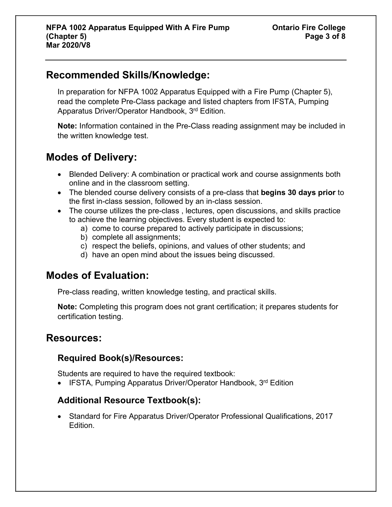#### **Recommended Skills/Knowledge:**

In preparation for NFPA 1002 Apparatus Equipped with a Fire Pump (Chapter 5), read the complete Pre-Class package and listed chapters from IFSTA, Pumping Apparatus Driver/Operator Handbook, 3<sup>rd</sup> Edition.

**Note:** Information contained in the Pre-Class reading assignment may be included in the written knowledge test.

### **Modes of Delivery:**

- Blended Delivery: A combination or practical work and course assignments both online and in the classroom setting.
- The blended course delivery consists of a pre-class that **begins 30 days prior** to the first in-class session, followed by an in-class session.
- The course utilizes the pre-class, lectures, open discussions, and skills practice to achieve the learning objectives. Every student is expected to:
	- a) come to course prepared to actively participate in discussions;
		- b) complete all assignments;
		- c) respect the beliefs, opinions, and values of other students; and
		- d) have an open mind about the issues being discussed.

#### **Modes of Evaluation:**

Pre-class reading, written knowledge testing, and practical skills.

**Note:** Completing this program does not grant certification; it prepares students for certification testing.

#### **Resources:**

#### **Required Book(s)/Resources:**

Students are required to have the required textbook:

• IFSTA, Pumping Apparatus Driver/Operator Handbook, 3<sup>rd</sup> Edition

#### **Additional Resource Textbook(s):**

• Standard for Fire Apparatus Driver/Operator Professional Qualifications, 2017 Edition.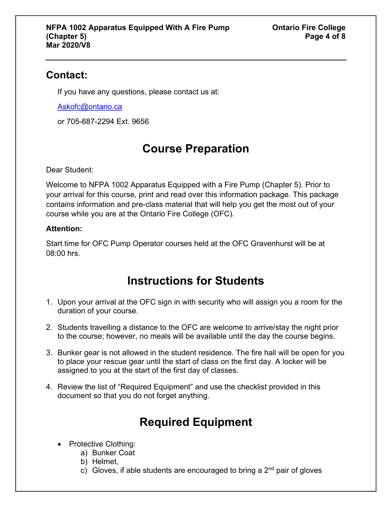#### **Contact:**

If you have any questions, please contact us at:

[Askofc@ontario.ca](mailto:Askofc@ontario.ca)

or 705-687-2294 Ext. 9656

# **Course Preparation**

Dear Student:

Welcome to NFPA 1002 Apparatus Equipped with a Fire Pump (Chapter 5). Prior to your arrival for this course, print and read over this information package. This package contains information and pre-class material that will help you get the most out of your course while you are at the Ontario Fire College (OFC).

#### **Attention:**

Start time for OFC Pump Operator courses held at the OFC Gravenhurst will be at 08:00 hrs.

# **Instructions for Students**

- 1. Upon your arrival at the OFC sign in with security who will assign you a room for the duration of your course.
- 2. Students travelling a distance to the OFC are welcome to arrive/stay the night prior to the course; however, no meals will be available until the day the course begins.
- 3. Bunker gear is not allowed in the student residence. The fire hall will be open for you to place your rescue gear until the start of class on the first day. A locker will be assigned to you at the start of the first day of classes.
- 4. Review the list of "Required Equipment" and use the checklist provided in this document so that you do not forget anything.

# **Required Equipment**

- Protective Clothing:
	- a) Bunker Coat
	- b) Helmet,
	- c) Gloves, if able students are encouraged to bring a  $2<sup>nd</sup>$  pair of gloves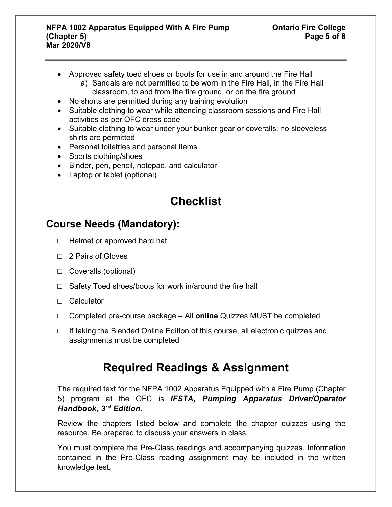- Approved safety toed shoes or boots for use in and around the Fire Hall a) Sandals are not permitted to be worn in the Fire Hall, in the Fire Hall classroom, to and from the fire ground, or on the fire ground
- No shorts are permitted during any training evolution
- Suitable clothing to wear while attending classroom sessions and Fire Hall activities as per OFC dress code
- Suitable clothing to wear under your bunker gear or coveralls; no sleeveless shirts are permitted
- Personal toiletries and personal items
- Sports clothing/shoes
- Binder, pen, pencil, notepad, and calculator
- Laptop or tablet (optional)

# **Checklist**

#### **Course Needs (Mandatory):**

- □ Helmet or approved hard hat
- □ 2 Pairs of Gloves
- □ Coveralls (optional)
- $\Box$  Safety Toed shoes/boots for work in/around the fire hall
- □ Calculator
- □ Completed pre-course package All **online** Quizzes MUST be completed
- □ If taking the Blended Online Edition of this course, all electronic quizzes and assignments must be completed

# **Required Readings & Assignment**

The required text for the NFPA 1002 Apparatus Equipped with a Fire Pump (Chapter 5) program at the OFC is *IFSTA, Pumping Apparatus Driver/Operator Handbook, 3rd Edition.* 

Review the chapters listed below and complete the chapter quizzes using the resource. Be prepared to discuss your answers in class.

You must complete the Pre-Class readings and accompanying quizzes. Information contained in the Pre-Class reading assignment may be included in the written knowledge test.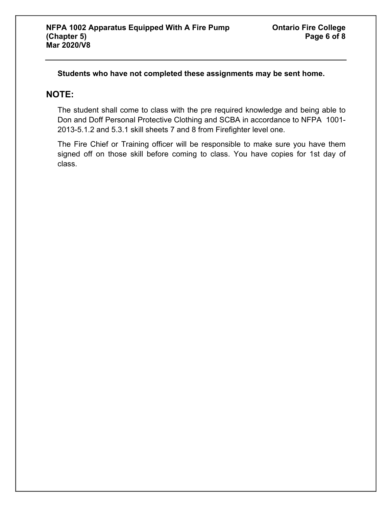**Students who have not completed these assignments may be sent home.** 

#### **NOTE:**

The student shall come to class with the pre required knowledge and being able to Don and Doff Personal Protective Clothing and SCBA in accordance to NFPA 1001- 2013-5.1.2 and 5.3.1 skill sheets 7 and 8 from Firefighter level one.

The Fire Chief or Training officer will be responsible to make sure you have them signed off on those skill before coming to class. You have copies for 1st day of class.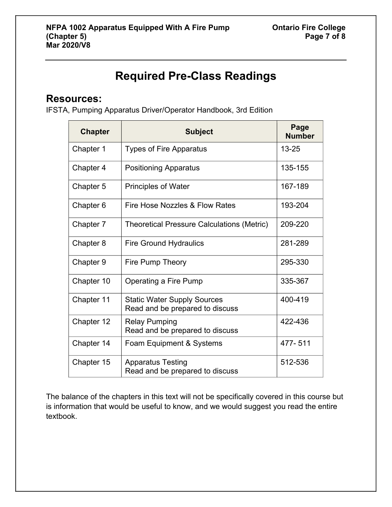# **Required Pre-Class Readings**

#### **Resources:**

IFSTA, Pumping Apparatus Driver/Operator Handbook, 3rd Edition

| <b>Chapter</b> | <b>Subject</b>                                                        | Page<br><b>Number</b> |
|----------------|-----------------------------------------------------------------------|-----------------------|
| Chapter 1      | <b>Types of Fire Apparatus</b>                                        | $13 - 25$             |
| Chapter 4      | <b>Positioning Apparatus</b>                                          | 135-155               |
| Chapter 5      | <b>Principles of Water</b>                                            | 167-189               |
| Chapter 6      | Fire Hose Nozzles & Flow Rates                                        | 193-204               |
| Chapter 7      | <b>Theoretical Pressure Calculations (Metric)</b>                     | 209-220               |
| Chapter 8      | <b>Fire Ground Hydraulics</b>                                         | 281-289               |
| Chapter 9      | Fire Pump Theory                                                      | 295-330               |
| Chapter 10     | Operating a Fire Pump                                                 | 335-367               |
| Chapter 11     | <b>Static Water Supply Sources</b><br>Read and be prepared to discuss | 400-419               |
| Chapter 12     | <b>Relay Pumping</b><br>Read and be prepared to discuss               | 422-436               |
| Chapter 14     | Foam Equipment & Systems                                              | 477-511               |
| Chapter 15     | <b>Apparatus Testing</b><br>Read and be prepared to discuss           | 512-536               |

The balance of the chapters in this text will not be specifically covered in this course but is information that would be useful to know, and we would suggest you read the entire textbook.